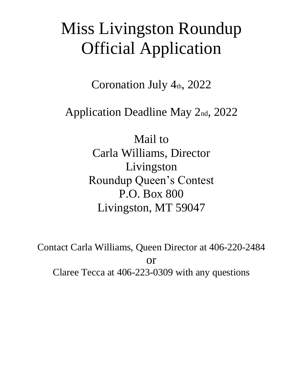# Miss Livingston Roundup Official Application

Coronation July 4th, 2022

Application Deadline May 2nd, 2022

Mail to Carla Williams, Director Livingston Roundup Queen's Contest P.O. Box 800 Livingston, MT 59047

Contact Carla Williams, Queen Director at 406-220-2484 or Claree Tecca at 406-223-0309 with any questions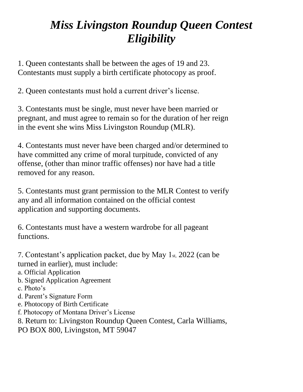# *Miss Livingston Roundup Queen Contest Eligibility*

1. Queen contestants shall be between the ages of 19 and 23. Contestants must supply a birth certificate photocopy as proof.

2. Queen contestants must hold a current driver's license.

3. Contestants must be single, must never have been married or pregnant, and must agree to remain so for the duration of her reign in the event she wins Miss Livingston Roundup (MLR).

4. Contestants must never have been charged and/or determined to have committed any crime of moral turpitude, convicted of any offense, (other than minor traffic offenses) nor have had a title removed for any reason.

5. Contestants must grant permission to the MLR Contest to verify any and all information contained on the official contest application and supporting documents.

6. Contestants must have a western wardrobe for all pageant functions.

7. Contestant's application packet, due by May 1st, 2022 (can be turned in earlier), must include:

a. Official Application

- b. Signed Application Agreement
- c. Photo's
- d. Parent's Signature Form
- e. Photocopy of Birth Certificate
- f. Photocopy of Montana Driver's License
- 8. Return to: Livingston Roundup Queen Contest, Carla Williams, PO BOX 800, Livingston, MT 59047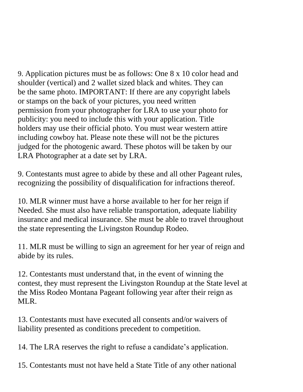9. Application pictures must be as follows: One 8 x 10 color head and shoulder (vertical) and 2 wallet sized black and whites. They can be the same photo. IMPORTANT: If there are any copyright labels or stamps on the back of your pictures, you need written permission from your photographer for LRA to use your photo for publicity: you need to include this with your application. Title holders may use their official photo. You must wear western attire including cowboy hat. Please note these will not be the pictures judged for the photogenic award. These photos will be taken by our LRA Photographer at a date set by LRA.

9. Contestants must agree to abide by these and all other Pageant rules, recognizing the possibility of disqualification for infractions thereof.

10. MLR winner must have a horse available to her for her reign if Needed. She must also have reliable transportation, adequate liability insurance and medical insurance. She must be able to travel throughout the state representing the Livingston Roundup Rodeo.

11. MLR must be willing to sign an agreement for her year of reign and abide by its rules.

12. Contestants must understand that, in the event of winning the contest, they must represent the Livingston Roundup at the State level at the Miss Rodeo Montana Pageant following year after their reign as MLR.

13. Contestants must have executed all consents and/or waivers of liability presented as conditions precedent to competition.

14. The LRA reserves the right to refuse a candidate's application.

15. Contestants must not have held a State Title of any other national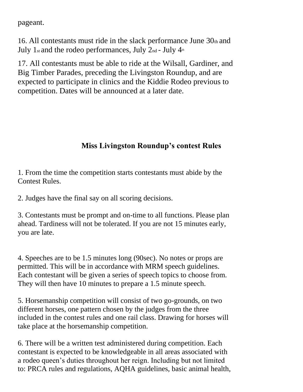pageant.

16. All contestants must ride in the slack performance June  $30<sub>th</sub>$  and July 1st and the rodeo performances, July  $2<sub>nd</sub>$  - July  $4<sub>th</sub>$ 

17. All contestants must be able to ride at the Wilsall, Gardiner, and Big Timber Parades, preceding the Livingston Roundup, and are expected to participate in clinics and the Kiddie Rodeo previous to competition. Dates will be announced at a later date.

# **Miss Livingston Roundup's contest Rules**

1. From the time the competition starts contestants must abide by the Contest Rules.

2. Judges have the final say on all scoring decisions.

3. Contestants must be prompt and on-time to all functions. Please plan ahead. Tardiness will not be tolerated. If you are not 15 minutes early, you are late.

4. Speeches are to be 1.5 minutes long (90sec). No notes or props are permitted. This will be in accordance with MRM speech guidelines. Each contestant will be given a series of speech topics to choose from. They will then have 10 minutes to prepare a 1.5 minute speech.

5. Horsemanship competition will consist of two go-grounds, on two different horses, one pattern chosen by the judges from the three included in the contest rules and one rail class. Drawing for horses will take place at the horsemanship competition.

6. There will be a written test administered during competition. Each contestant is expected to be knowledgeable in all areas associated with a rodeo queen's duties throughout her reign. Including but not limited to: PRCA rules and regulations, AQHA guidelines, basic animal health,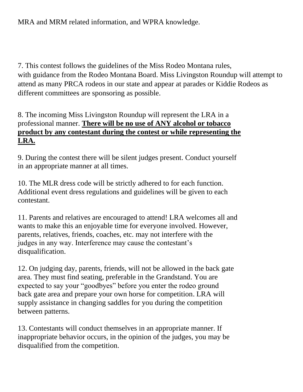7. This contest follows the guidelines of the Miss Rodeo Montana rules, with guidance from the Rodeo Montana Board. Miss Livingston Roundup will attempt to attend as many PRCA rodeos in our state and appear at parades or Kiddie Rodeos as different committees are sponsoring as possible.

## 8. The incoming Miss Livingston Roundup will represent the LRA in a professional manner. **There will be no use of ANY alcohol or tobacco product by any contestant during the contest or while representing the LRA.**

9. During the contest there will be silent judges present. Conduct yourself in an appropriate manner at all times.

10. The MLR dress code will be strictly adhered to for each function. Additional event dress regulations and guidelines will be given to each contestant.

11. Parents and relatives are encouraged to attend! LRA welcomes all and wants to make this an enjoyable time for everyone involved. However, parents, relatives, friends, coaches, etc. may not interfere with the judges in any way. Interference may cause the contestant's disqualification.

12. On judging day, parents, friends, will not be allowed in the back gate area. They must find seating, preferable in the Grandstand. You are expected to say your "goodbyes" before you enter the rodeo ground back gate area and prepare your own horse for competition. LRA will supply assistance in changing saddles for you during the competition between patterns.

13. Contestants will conduct themselves in an appropriate manner. If inappropriate behavior occurs, in the opinion of the judges, you may be disqualified from the competition.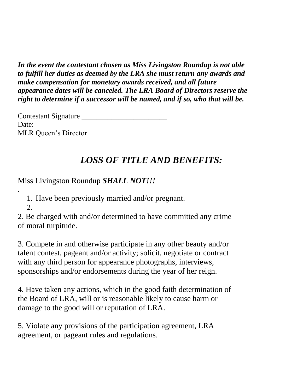*In the event the contestant chosen as Miss Livingston Roundup is not able to fulfill her duties as deemed by the LRA she must return any awards and make compensation for monetary awards received, and all future appearance dates will be canceled. The LRA Board of Directors reserve the right to determine if a successor will be named, and if so, who that will be.*

Contestant Signature Date: MLR Queen's Director

# *LOSS OF TITLE AND BENEFITS:*

Miss Livingston Roundup *SHALL NOT!!!*

1. Have been previously married and/or pregnant.

2.

.

2. Be charged with and/or determined to have committed any crime of moral turpitude.

3. Compete in and otherwise participate in any other beauty and/or talent contest, pageant and/or activity; solicit, negotiate or contract with any third person for appearance photographs, interviews, sponsorships and/or endorsements during the year of her reign.

4. Have taken any actions, which in the good faith determination of the Board of LRA, will or is reasonable likely to cause harm or damage to the good will or reputation of LRA.

5. Violate any provisions of the participation agreement, LRA agreement, or pageant rules and regulations.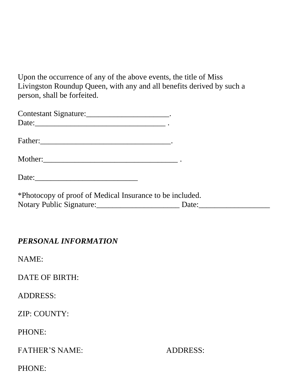Upon the occurrence of any of the above events, the title of Miss Livingston Roundup Queen, with any and all benefits derived by such a person, shall be forfeited.

| Contestant Signature: ___________________________.       |  |
|----------------------------------------------------------|--|
| Date:                                                    |  |
|                                                          |  |
|                                                          |  |
|                                                          |  |
| *Photocopy of proof of Medical Insurance to be included. |  |
| Notary Public Signature: Date: Date:                     |  |

#### *PERSONAL INFORMATION*

NAME:

DATE OF BIRTH:

ADDRESS:

ZIP: COUNTY:

PHONE:

FATHER'S NAME: ADDRESS:

PHONE: